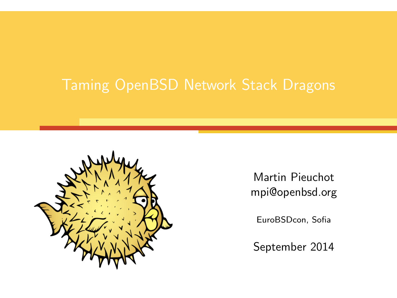

Martin Pieuchot mpi@openbsd.org

EuroBSDcon, Sofia

September 2014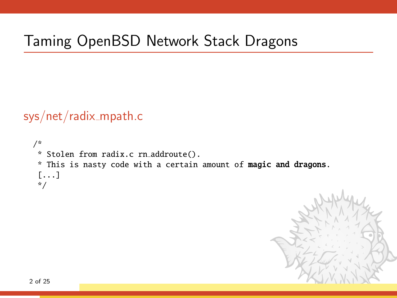# Taming OpenBSD Network Stack Dragons

sys/net/radix\_mpath.c

```
/*
* Stolen from radix.c rn addroute().
* This is nasty code with a certain amount of magic and dragons.
 [...]
*/
```
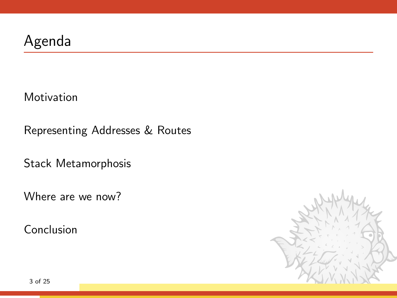[Motivation](#page-3-0)

[Representing Addresses & Routes](#page-5-0)

[Stack Metamorphosis](#page-12-0)

[Where are we now?](#page-18-0)

[Conclusion](#page-22-0)

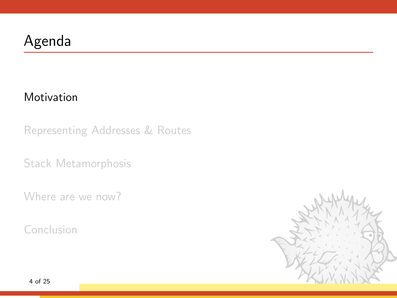### [Motivation](#page-3-0)

[Representing Addresses & Routes](#page-5-0)

[Stack Metamorphosis](#page-12-0)

[Where are we now?](#page-18-0)

[Conclusion](#page-22-0)

<span id="page-3-0"></span>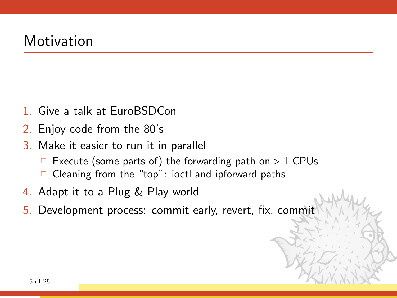### Motivation

- 1. Give a talk at EuroBSDCon
- 2. Enjoy code from the 80's
- 3. Make it easier to run it in parallel
	- Execute (some parts of) the forwarding path on  $> 1$  CPUs
	- $\Box$  Cleaning from the "top": ioctl and ipforward paths
- 4. Adapt it to a Plug & Play world
- 5. Development process: commit early, revert, fix, commit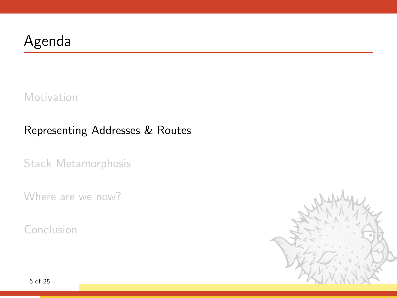[Motivation](#page-3-0)

### [Representing Addresses & Routes](#page-5-0)

[Stack Metamorphosis](#page-12-0)

[Where are we now?](#page-18-0)

[Conclusion](#page-22-0)

<span id="page-5-0"></span>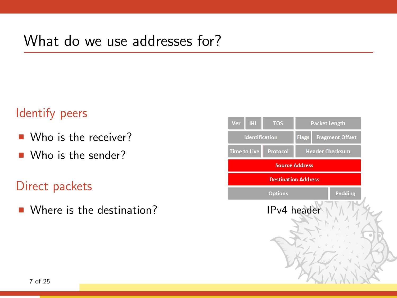## What do we use addresses for?

### Identify peers

- Who is the receiver?
- Who is the sender?

### Direct packets

 $\blacksquare$  Where is the destination?

| <b>IHL</b><br>Ver          | <b>TOS</b> | <b>Packet Length</b>   |                        |
|----------------------------|------------|------------------------|------------------------|
| <b>Identification</b>      |            | <b>Flags</b>           | <b>Fragment Offset</b> |
| <b>Time to Live</b>        | Protocol   | <b>Header Checksum</b> |                        |
| <b>Source Address</b>      |            |                        |                        |
| <b>Destination Address</b> |            |                        |                        |
| <b>Options</b>             |            |                        | <b>Padding</b>         |
| IPv4 header                |            |                        |                        |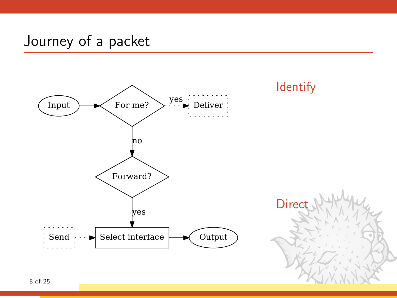### Journey of a packet

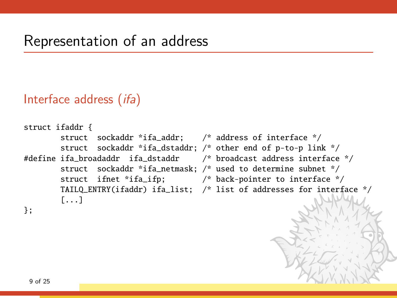### Interface address (ifa)

```
struct ifaddr {
       struct sockaddr *ifa_addr; /* address of interface */
       struct sockaddr *ifa_dstaddr; /* other end of p-to-p link */
#define ifa_broadaddr ifa_dstaddr /* broadcast address interface */
       struct sockaddr *ifa_netmask; /* used to determine subnet */
       struct ifnet *ifa_ifp; /* back-pointer to interface */
       TAILQ_ENTRY(ifaddr) ifa_list; /* list of addresses for interface */
       [...]
};
```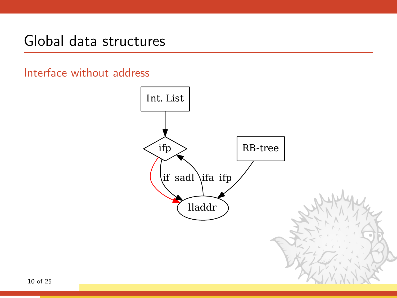### Global data structures

Interface without address

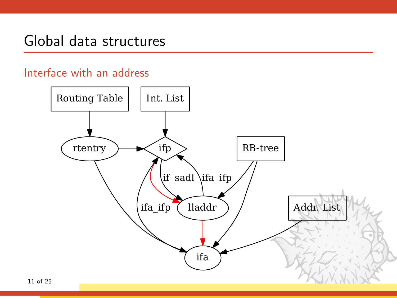### Global data structures

#### Interface with an address

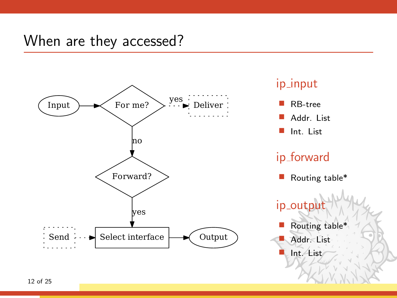### When are they accessed?

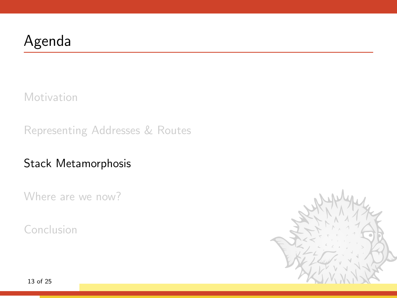[Motivation](#page-3-0)

[Representing Addresses & Routes](#page-5-0)

[Stack Metamorphosis](#page-12-0)

[Where are we now?](#page-18-0)

[Conclusion](#page-22-0)

<span id="page-12-0"></span>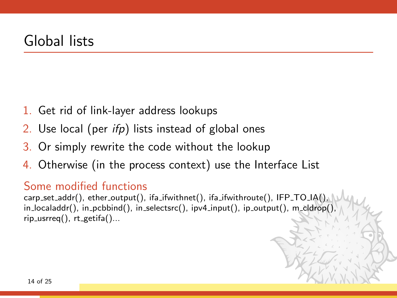- 1. Get rid of link-layer address lookups
- 2. Use local (per  $ifp$ ) lists instead of global ones
- 3. Or simply rewrite the code without the lookup
- 4. Otherwise (in the process context) use the Interface List

#### Some modified functions

carp\_set\_addr(), ether\_output(), ifa\_ifwithnet(), ifa\_ifwithroute(), IFP\_TO\_IA(), in\_localaddr(), in\_pcbbind(), in\_selectsrc(), ipv4\_input(), ip\_output(), m\_cldrop(),  $rip\_usrreq()$ ,  $rt\_getifa()...$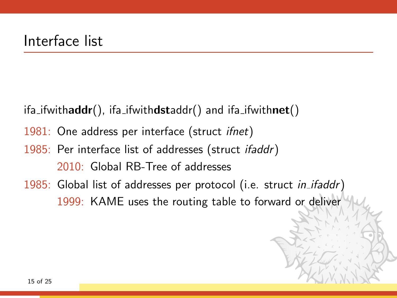- ifa\_ifwithaddr(), ifa\_ifwithdstaddr() and ifa\_ifwithnet()
- 1981: One address per interface (struct *ifnet*)
- 1985: Per interface list of addresses (struct *ifaddr*) 2010: Global RB-Tree of addresses
- 1985: Global list of addresses per protocol (i.e. struct in ifaddr) 1999: KAME uses the routing table to forward or deliver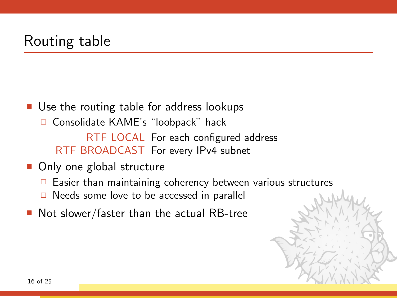### Routing table

- Use the routing table for address lookups □ Consolidate KAME's "loobpack" hack RTF LOCAL For each configured address RTF BROADCAST For every IPv4 subnet
- Only one global structure
	- $\Box$  Easier than maintaining coherency between various structures
	- $\Box$  Needs some love to be accessed in parallel
- Not slower/faster than the actual RB-tree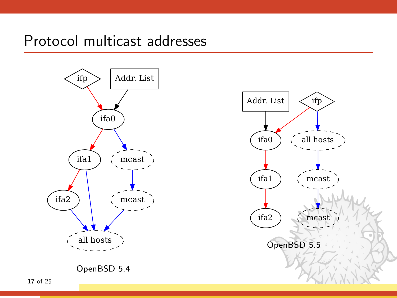Protocol multicast addresses



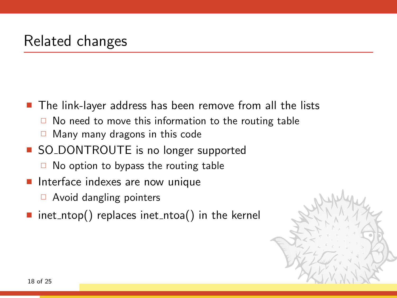### Related changes

■ The link-layer address has been remove from all the lists

- $\Box$  No need to move this information to the routing table
- $\Box$  Many many dragons in this code
- SO\_DONTROUTE is no longer supported
	- $\Box$  No option to bypass the routing table
- $\blacksquare$  Interface indexes are now unique
	- $\Box$  Avoid dangling pointers
- inet ntop() replaces inet ntoa() in the kernel

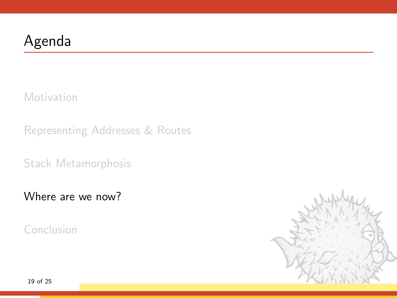[Motivation](#page-3-0)

[Representing Addresses & Routes](#page-5-0)

[Stack Metamorphosis](#page-12-0)

[Where are we now?](#page-18-0)

[Conclusion](#page-22-0)

<span id="page-18-0"></span>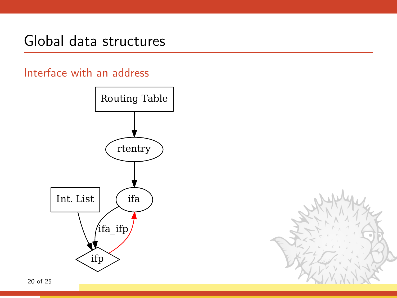## Global data structures

### Interface with an address



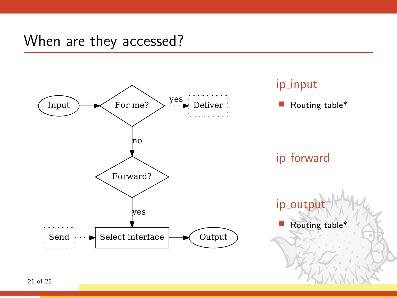### When are they accessed?

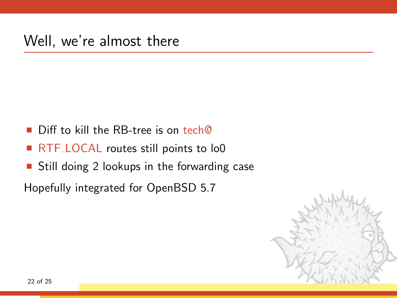- Diff to kill the RB-tree is on tech@
- RTF\_LOCAL routes still points to lo0
- Still doing 2 lookups in the forwarding case

Hopefully integrated for OpenBSD 5.7

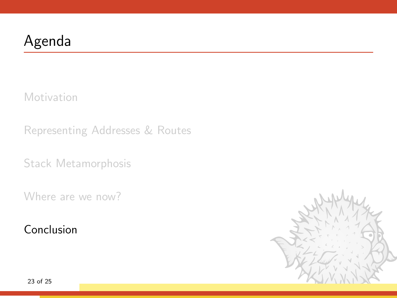[Motivation](#page-3-0)

[Representing Addresses & Routes](#page-5-0)

[Stack Metamorphosis](#page-12-0)

[Where are we now?](#page-18-0)

[Conclusion](#page-22-0)

<span id="page-22-0"></span>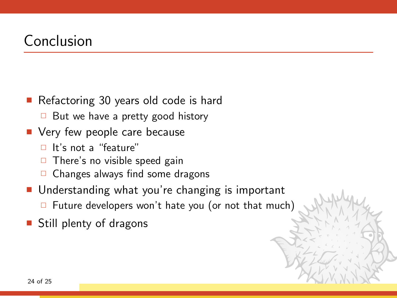### Conclusion

- Refactoring 30 years old code is hard
	- $\Box$  But we have a pretty good history
- **Very few people care because** 
	- $\Box$  It's not a "feature"
	- $\Box$  There's no visible speed gain
	- $\Box$  Changes always find some dragons
- Understanding what you're changing is important
	- $\Box$  Future developers won't hate you (or not that much)
- Still plenty of dragons